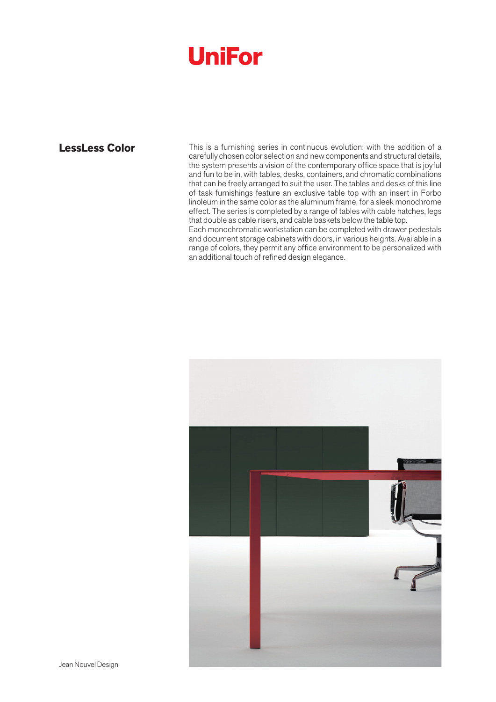## **UniFor**

**LessLess Color** This is a furnishing series in continuous evolution: with the addition of a carefully chosen color selection and new components and structural details, the system presents a vision of the contemporary office space that is joyful and fun to be in, with tables, desks, containers, and chromatic combinations that can be freely arranged to suit the user. The tables and desks of this line of task furnishings feature an exclusive table top with an insert in Forbo linoleum in the same color as the aluminum frame, for a sleek monochrome effect. The series is completed by a range of tables with cable hatches, legs that double as cable risers, and cable baskets below the table top.

Each monochromatic workstation can be completed with drawer pedestals and document storage cabinets with doors, in various heights. Available in a range of colors, they permit any office environment to be personalized with an additional touch of refined design elegance.

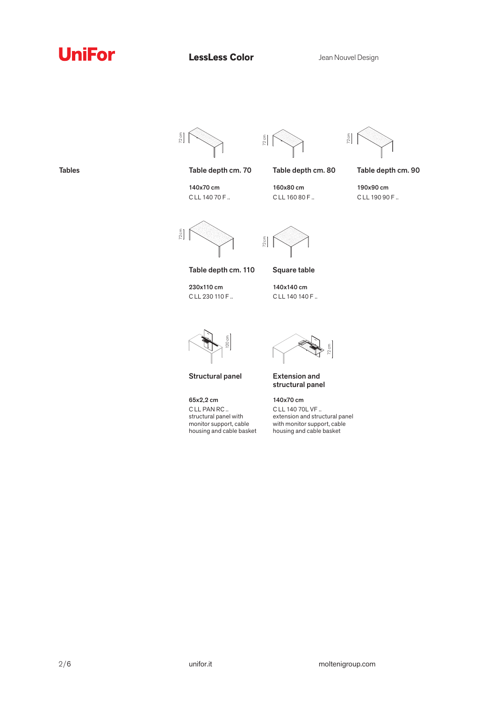





Table depth cm. 70 Table depth cm. 80 Table depth cm. 90



140x70 cm C LL 140 70 F ..

160x80 cm C LL 160 80 F ..

190x90 cm

C LL 190 90 F ..

 $72cm$ 

Table depth cm. 110 Square table

230x110 cm C LL 230 110 F ..

72 cm

140x140 cm C LL 140 140 F ..



Structural panel

65x2,2 cm C LL PAN RC .. structural panel with monitor support, cable housing and cable basket

72 cm

Extension and structural panel

140x70 cm C LL 140 70L VF .. extension and structural panel with monitor support, cable housing and cable basket

Tables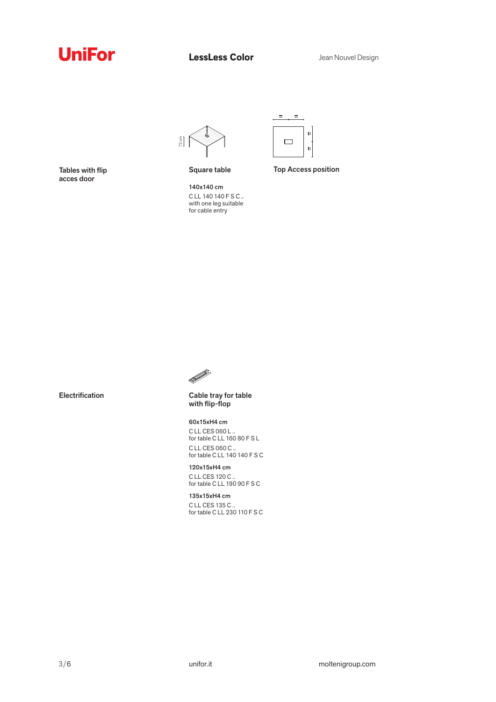





Square table

140x140 cm C LL 140 140 F S C .. with one leg suitable for cable entry

Top Access position



Cable tray for table with flip-flop

60x15xH4 cm C LL CES 060 L .. for table C LL 160 80 F S L C LL CES 060 C .. for table C LL 140 140 F S C

120x15xH4 cm C LL CES 120 C .. for table C LL 190 90 F S C

135x15xH4 cm C LL CES 135 C .. for table C LL 230 110 F S C

Tables with flip acces door

Electrification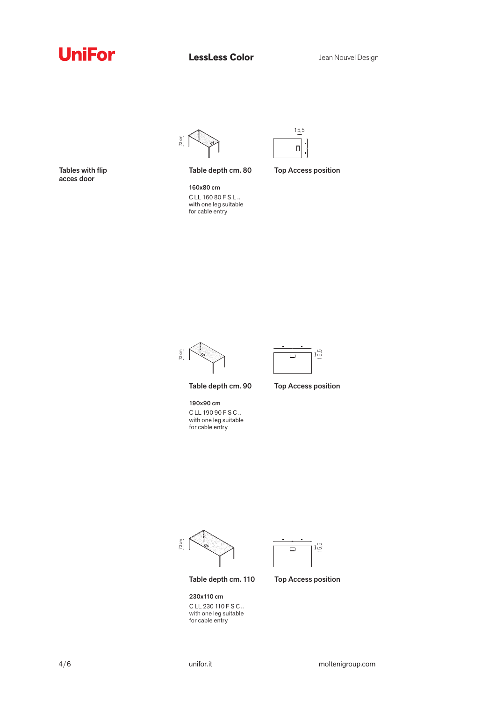





Tables with flip acces door

Table depth cm. 80

Top Access position

160x80 cm C LL 160 80 F S L .. with one leg suitable for cable entry





Table depth cm. 90

190x90 cm C LL 190 90 F S C .. with one leg suitable for cable entry

Top Access position

72 cm



Table depth cm. 110

230x110 cm C LL 230 110 F S C .. with one leg suitable for cable entry

Top Access position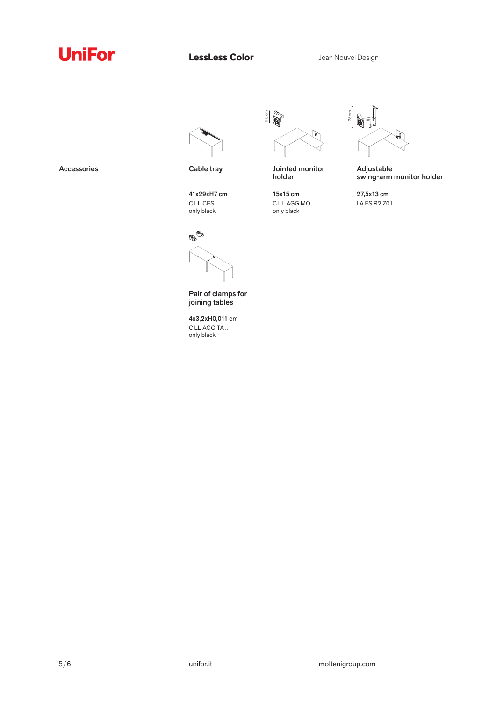



41x29xH7 cm C LL CES .. only black



Pair of clamps for joining tables

4x3,2xH0,011 cm C LL AGG TA .. only black

6,6 cm े

Accessories Cable tray Cable tray Jointed monitor holder

> 15x15 cm C LL AGG MO .. only black



Adjustable swing-arm monitor holder

27,5x13 cm I A FS R2 Z01 ..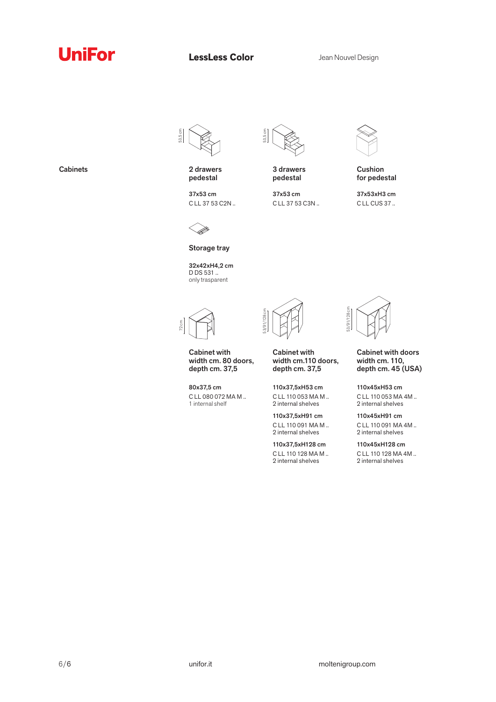## **UniFor**

**LessLess Color** Jean Nouvel Design

53,5 cm



37x53 cm C LL 37 53 C2N ..



3 drawers pedestal

37x53 cm C LL 37 53 C3N ..



## Cushion for pedestal

37x53xH3 cm C LL CUS 37 ..



Storage tray

32x42xH4,2 cm D DS 531 .. only trasparent



Cabinet with width cm. 80 doors, depth cm. 37,5

80x37,5 cm C LL 080 072 MA M .. 1 internal shelf



Cabinet with width cm.110 doors, depth cm. 37,5

110x37,5xH53 cm C LL 110 053 MA M .. 2 internal shelves

110x37,5xH91 cm C LL 110 091 MA M .. 2 internal shelves

110x37,5xH128 cm C LL 110 128 MA M .. 2 internal shelves



53/91/128 cm

 $\tilde{g}$ 

Cabinet with doors width cm. 110, depth cm. 45 (USA)

110x45xH53 cm C LL 110 053 MA 4M .. 2 internal shelves

110x45xH91 cm C LL 110 091 MA 4M .. 2 internal shelves

110x45xH128 cm C LL 110 128 MA 4M .. 2 internal shelves